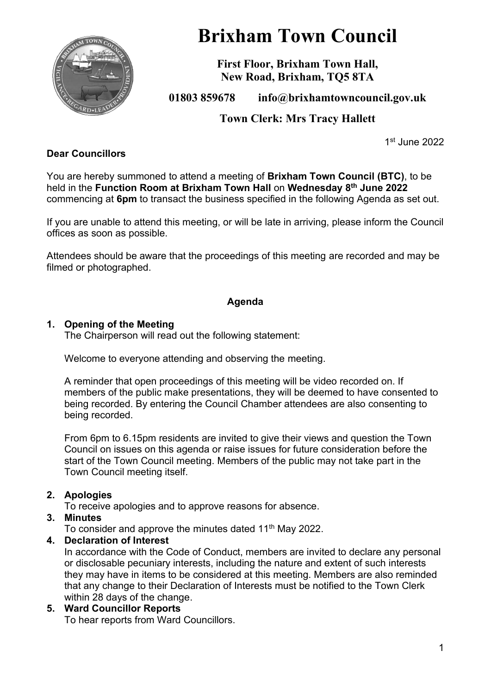

# **Brixham Town Council**

**First Floor, Brixham Town Hall, New Road, Brixham, TQ5 8TA**

**01803 859678 info@brixhamtowncouncil.gov.uk**

**Town Clerk: Mrs Tracy Hallett**

1 st June 2022

## **Dear Councillors**

You are hereby summoned to attend a meeting of **Brixham Town Council (BTC)**, to be held in the **Function Room at Brixham Town Hall** on **Wednesday 8 th June 2022** commencing at **6pm** to transact the business specified in the following Agenda as set out.

If you are unable to attend this meeting, or will be late in arriving, please inform the Council offices as soon as possible.

Attendees should be aware that the proceedings of this meeting are recorded and may be filmed or photographed.

## **Agenda**

#### **1. Opening of the Meeting**

The Chairperson will read out the following statement:

Welcome to everyone attending and observing the meeting.

A reminder that open proceedings of this meeting will be video recorded on. If members of the public make presentations, they will be deemed to have consented to being recorded. By entering the Council Chamber attendees are also consenting to being recorded.

From 6pm to 6.15pm residents are invited to give their views and question the Town Council on issues on this agenda or raise issues for future consideration before the start of the Town Council meeting. Members of the public may not take part in the Town Council meeting itself.

#### **2. Apologies**

To receive apologies and to approve reasons for absence.

#### **3. Minutes**

To consider and approve the minutes dated 11<sup>th</sup> May 2022.

#### **4. Declaration of Interest**

In accordance with the Code of Conduct, members are invited to declare any personal or disclosable pecuniary interests, including the nature and extent of such interests they may have in items to be considered at this meeting. Members are also reminded that any change to their Declaration of Interests must be notified to the Town Clerk within 28 days of the change.

#### **5. Ward Councillor Reports** To hear reports from Ward Councillors.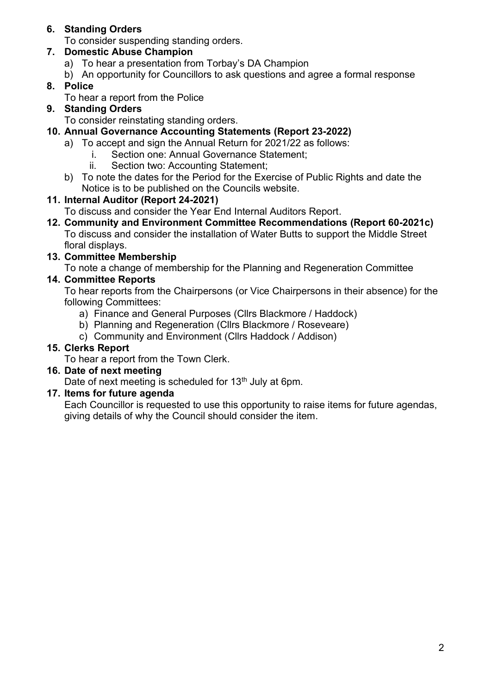## **6. Standing Orders**

To consider suspending standing orders.

## **7. Domestic Abuse Champion**

- a) To hear a presentation from Torbay's DA Champion
- b) An opportunity for Councillors to ask questions and agree a formal response

# **8. Police**

To hear a report from the Police

## **9. Standing Orders**

To consider reinstating standing orders.

- **10. Annual Governance Accounting Statements (Report 23-2022)**
	- a) To accept and sign the Annual Return for 2021/22 as follows:
		- i. Section one: Annual Governance Statement;
			- ii. Section two: Accounting Statement;
	- b) To note the dates for the Period for the Exercise of Public Rights and date the Notice is to be published on the Councils website.

# **11. Internal Auditor (Report 24-2021)**

To discuss and consider the Year End Internal Auditors Report.

**12. Community and Environment Committee Recommendations (Report 60-2021c)** To discuss and consider the installation of Water Butts to support the Middle Street floral displays.

# **13. Committee Membership**

To note a change of membership for the Planning and Regeneration Committee

# **14. Committee Reports**

To hear reports from the Chairpersons (or Vice Chairpersons in their absence) for the following Committees:

- a) Finance and General Purposes (Cllrs Blackmore / Haddock)
- b) Planning and Regeneration (Cllrs Blackmore / Roseveare)
- c) Community and Environment (Cllrs Haddock / Addison)

# **15. Clerks Report**

To hear a report from the Town Clerk.

## **16. Date of next meeting**

Date of next meeting is scheduled for 13<sup>th</sup> July at 6pm.

## **17. Items for future agenda**

Each Councillor is requested to use this opportunity to raise items for future agendas, giving details of why the Council should consider the item.